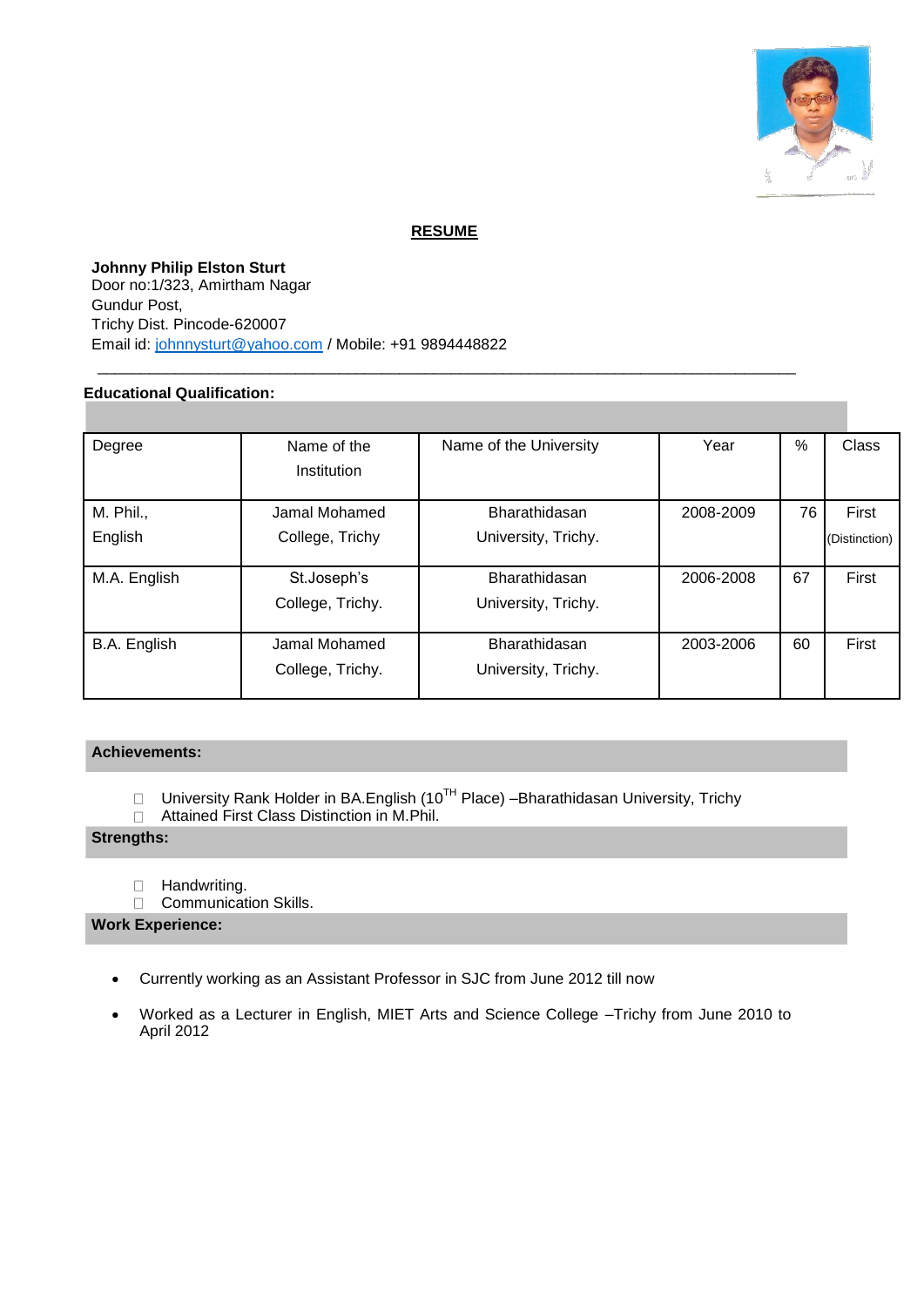

# **RESUME**

\_\_\_\_\_\_\_\_\_\_\_\_\_\_\_\_\_\_\_\_\_\_\_\_\_\_\_\_\_\_\_\_\_\_\_\_\_\_\_\_\_\_\_\_\_\_\_\_\_\_\_\_\_\_\_\_\_\_\_\_\_\_\_\_\_\_\_\_\_\_\_\_\_\_\_\_\_\_\_\_\_

**Johnny Philip Elston Sturt** Door no:1/323, Amirtham Nagar Gundur Post, Trichy Dist. Pincode-620007 Email id: [johnnysturt@yahoo.com](mailto:johnnysturt@yahoo.com) / Mobile: +91 9894448822

### **Educational Qualification:**

| Degree       | Name of the      | Name of the University | Year      | $\%$ | Class         |
|--------------|------------------|------------------------|-----------|------|---------------|
|              | Institution      |                        |           |      |               |
|              |                  |                        |           |      |               |
| M. Phil.,    | Jamal Mohamed    | Bharathidasan          | 2008-2009 | 76   | First         |
| English      | College, Trichy  | University, Trichy.    |           |      | (Distinction) |
|              |                  |                        |           |      |               |
| M.A. English | St.Joseph's      | Bharathidasan          | 2006-2008 | 67   | First         |
|              | College, Trichy. | University, Trichy.    |           |      |               |
|              |                  |                        |           |      |               |
| B.A. English | Jamal Mohamed    | Bharathidasan          | 2003-2006 | 60   | First         |
|              | College, Trichy. | University, Trichy.    |           |      |               |
|              |                  |                        |           |      |               |

### **Achievements:**

University Rank Holder in BA.English ( $10^{TH}$  Place) – Bharathidasan University, Trichy  $\Box$ 

 $\Box$ Attained First Class Distinction in M.Phil.

# **Strengths:**

- $\Box$ Handwriting.
- Communication Skills.  $\Box$

### **Work Experience:**

- Currently working as an Assistant Professor in SJC from June 2012 till now
- Worked as a Lecturer in English, MIET Arts and Science College –Trichy from June 2010 to April 2012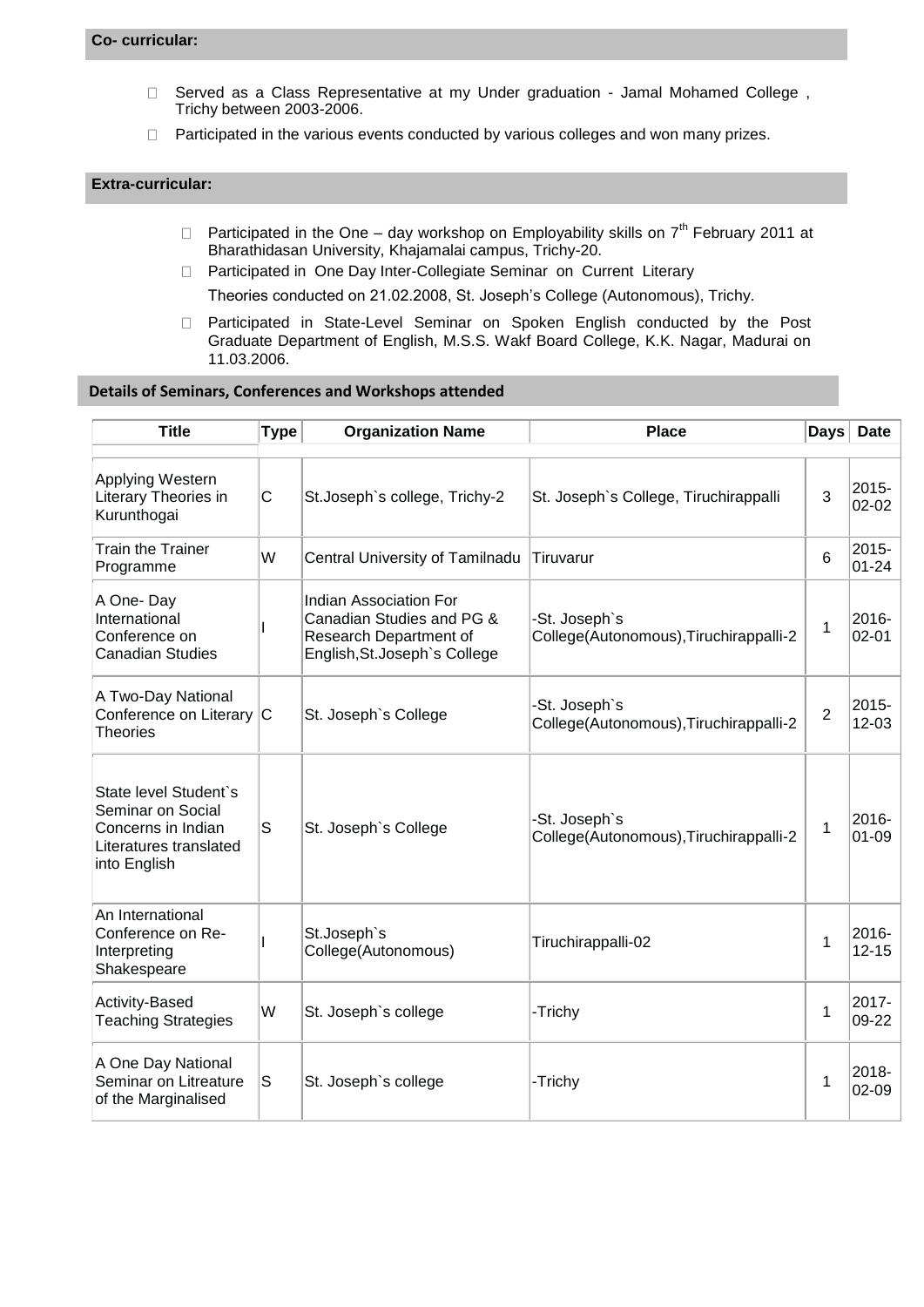- $\Box$ Served as a Class Representative at my Under graduation - Jamal Mohamed College , Trichy between 2003-2006.
- $\Box$  Participated in the various events conducted by various colleges and won many prizes.

#### **Extra-curricular:**

- $\Box$  Participated in the One day workshop on Employability skills on  $7^{th}$  February 2011 at Bharathidasan University, Khajamalai campus, Trichy-20.
- □ Participated in One Day Inter-Collegiate Seminar on Current Literary
	- Theories conducted on 21.02.2008, St. Joseph's College (Autonomous), Trichy.
- Participated in State-Level Seminar on Spoken English conducted by the Post Graduate Department of English, M.S.S. Wakf Board College, K.K. Nagar, Madurai on 11.03.2006.

#### **Details of Seminars, Conferences and Workshops attended**

| <b>Title</b>                                                                                               | <b>Type</b> | <b>Organization Name</b>                                                                                              | <b>Place</b>                                            | <b>Days</b>    | <b>Date</b>           |
|------------------------------------------------------------------------------------------------------------|-------------|-----------------------------------------------------------------------------------------------------------------------|---------------------------------------------------------|----------------|-----------------------|
| Applying Western<br>Literary Theories in<br>Kurunthogai                                                    | C           | St.Joseph's college, Trichy-2                                                                                         | St. Joseph's College, Tiruchirappalli                   | 3              | 2015-<br>$02 - 02$    |
| <b>Train the Trainer</b><br>Programme                                                                      | W           | Central University of Tamilnadu                                                                                       | Tiruvarur                                               | 6              | 2015-<br>$01 - 24$    |
| A One-Day<br>International<br>Conference on<br><b>Canadian Studies</b>                                     |             | <b>Indian Association For</b><br>Canadian Studies and PG &<br>Research Department of<br>English, St. Joseph's College | -St. Joseph's<br>College(Autonomous), Tiruchirappalli-2 | 1              | 2016-<br>$02 - 01$    |
| A Two-Day National<br>Conference on Literary C<br><b>Theories</b>                                          |             | St. Joseph's College                                                                                                  | -St. Joseph's<br>College(Autonomous), Tiruchirappalli-2 | $\overline{2}$ | 2015-<br>$12 - 03$    |
| State level Student's<br>Seminar on Social<br>Concerns in Indian<br>Literatures translated<br>into English | $\mathsf S$ | St. Joseph's College                                                                                                  | -St. Joseph's<br>College(Autonomous), Tiruchirappalli-2 | 1              | 2016-<br>$01 - 09$    |
| An International<br>Conference on Re-<br>Interpreting<br>Shakespeare                                       |             | St.Joseph's<br>College(Autonomous)                                                                                    | Tiruchirappalli-02                                      | 1              | 2016-<br>$12 - 15$    |
| Activity-Based<br><b>Teaching Strategies</b>                                                               | W           | St. Joseph's college                                                                                                  | -Trichy                                                 | 1              | 2017-<br>09-22        |
| A One Day National<br>Seminar on Litreature<br>of the Marginalised                                         | S           | St. Joseph's college                                                                                                  | -Trichy                                                 | 1              | $2018 -$<br>$02 - 09$ |